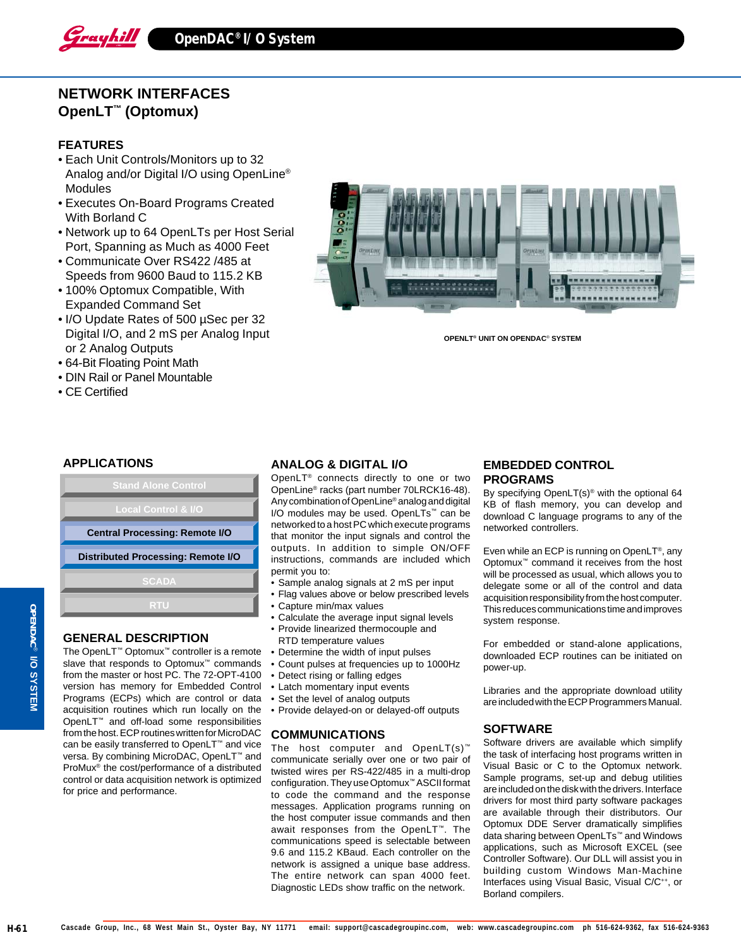

# **NETWORK INTERFACES OpenLT™ (Optomux)**

### **FEATURES**

- Each Unit Controls/Monitors up to 32 Analog and/or Digital I/O using OpenLine® Modules
- Executes On-Board Programs Created With Borland C
- Network up to 64 OpenLTs per Host Serial Port, Spanning as Much as 4000 Feet
- Communicate Over RS422 /485 at Speeds from 9600 Baud to 115.2 KB
- 100% Optomux Compatible, With Expanded Command Set
- I/O Update Rates of 500 µSec per 32 Digital I/O, and 2 mS per Analog Input or 2 Analog Outputs
- 64-Bit Floating Point Math
- DIN Rail or Panel Mountable
- CE Certified



**OPENLT® UNIT ON OPENDAC**® **SYSTEM**

# **APPLICATIONS**



# **GENERAL DESCRIPTION**

The OpenLT™ Optomux™ controller is a remote slave that responds to Optomux™ commands from the master or host PC. The 72-OPT-4100 version has memory for Embedded Control Programs (ECPs) which are control or data acquisition routines which run locally on the OpenLT™ and off-load some responsibilities from the host. ECP routines written for MicroDAC can be easily transferred to OpenLT™ and vice versa. By combining MicroDAC, OpenLT<sup>™</sup> and ProMux® the cost/performance of a distributed control or data acquisition network is optimized for price and performance.

#### **ANALOG & DIGITAL I/O**

OpenLT® connects directly to one or two OpenLine® racks (part number 70LRCK16-48). Any combination of OpenLine® analog and digital I/O modules may be used. OpenLTs™ can be networked to a host PC which execute programs that monitor the input signals and control the outputs. In addition to simple ON/OFF instructions, commands are included which permit you to:

- Sample analog signals at 2 mS per input
- Flag values above or below prescribed levels
- Capture min/max values
- Calculate the average input signal levels
- Provide linearized thermocouple and RTD temperature values
- Determine the width of input pulses
- Count pulses at frequencies up to 1000Hz
- Detect rising or falling edges
- Latch momentary input events
- Set the level of analog outputs
- Provide delayed-on or delayed-off outputs

#### **COMMUNICATIONS**

The host computer and OpenLT(s)™ communicate serially over one or two pair of twisted wires per RS-422/485 in a multi-drop configuration. They use Optomux™ ASCII format to code the command and the response messages. Application programs running on the host computer issue commands and then await responses from the OpenLT™. The communications speed is selectable between 9.6 and 115.2 KBaud. Each controller on the network is assigned a unique base address. The entire network can span 4000 feet. Diagnostic LEDs show traffic on the network.

### **EMBEDDED CONTROL PROGRAMS**

By specifying OpenLT(s)® with the optional 64 KB of flash memory, you can develop and download C language programs to any of the networked controllers.

Even while an ECP is running on OpenLT®, any Optomux™ command it receives from the host will be processed as usual, which allows you to delegate some or all of the control and data acquisition responsibility from the host computer. This reduces communications time and improves system response.

For embedded or stand-alone applications, downloaded ECP routines can be initiated on power-up.

Libraries and the appropriate download utility are included with the ECP Programmers Manual.

### **SOFTWARE**

Software drivers are available which simplify the task of interfacing host programs written in Visual Basic or C to the Optomux network. Sample programs, set-up and debug utilities are included on the disk with the drivers. Interface drivers for most third party software packages are available through their distributors. Our Optomux DDE Server dramatically simplifies data sharing between OpenLTs™ and Windows applications, such as Microsoft EXCEL (see Controller Software). Our DLL will assist you in building custom Windows Man-Machine Interfaces using Visual Basic, Visual C/C++, or Borland compilers.